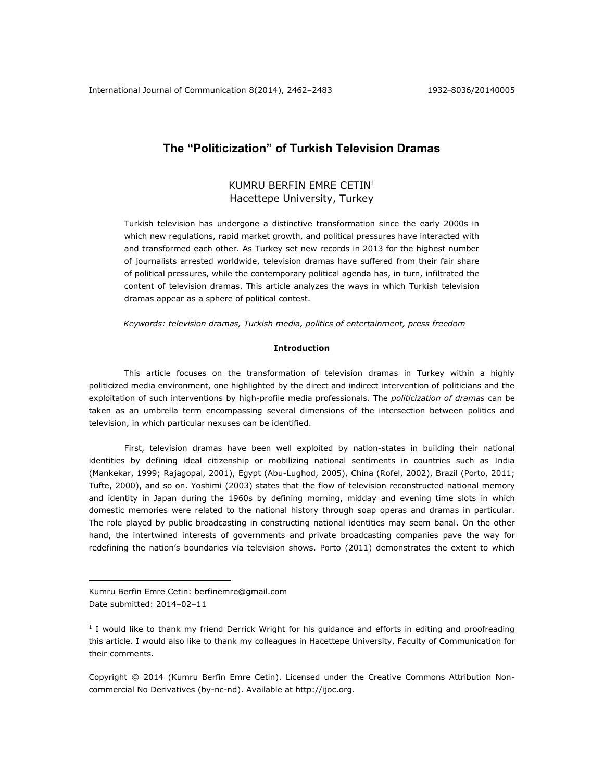# **The "Politicization" of Turkish Television Dramas**

# KUMRU BERFIN EMRE CETIN<sup>1</sup> Hacettepe University, Turkey

Turkish television has undergone a distinctive transformation since the early 2000s in which new regulations, rapid market growth, and political pressures have interacted with and transformed each other. As Turkey set new records in 2013 for the highest number of journalists arrested worldwide, television dramas have suffered from their fair share of political pressures, while the contemporary political agenda has, in turn, infiltrated the content of television dramas. This article analyzes the ways in which Turkish television dramas appear as a sphere of political contest.

*Keywords: television dramas, Turkish media, politics of entertainment, press freedom*

## **Introduction**

This article focuses on the transformation of television dramas in Turkey within a highly politicized media environment, one highlighted by the direct and indirect intervention of politicians and the exploitation of such interventions by high-profile media professionals. The *politicization of dramas* can be taken as an umbrella term encompassing several dimensions of the intersection between politics and television, in which particular nexuses can be identified.

First, television dramas have been well exploited by nation-states in building their national identities by defining ideal citizenship or mobilizing national sentiments in countries such as India (Mankekar, 1999; Rajagopal, 2001), Egypt (Abu-Lughod, 2005), China (Rofel, 2002), Brazil (Porto, 2011; Tufte, 2000), and so on. Yoshimi (2003) states that the flow of television reconstructed national memory and identity in Japan during the 1960s by defining morning, midday and evening time slots in which domestic memories were related to the national history through soap operas and dramas in particular. The role played by public broadcasting in constructing national identities may seem banal. On the other hand, the intertwined interests of governments and private broadcasting companies pave the way for redefining the nation's boundaries via television shows. Porto (2011) demonstrates the extent to which

 $\overline{a}$ 

Copyright © 2014 (Kumru Berfin Emre Cetin). Licensed under the Creative Commons Attribution Noncommercial No Derivatives (by-nc-nd). Available at [http://ijoc.org.](http://ijoc.org/)

Kumru Berfin Emre Cetin: [berfinemre@gmail.com](mailto:berfinemre@gmail.com) Date submitted: 2014–02–11

<sup>&</sup>lt;sup>1</sup> I would like to thank my friend Derrick Wright for his guidance and efforts in editing and proofreading this article. I would also like to thank my colleagues in Hacettepe University, Faculty of Communication for their comments.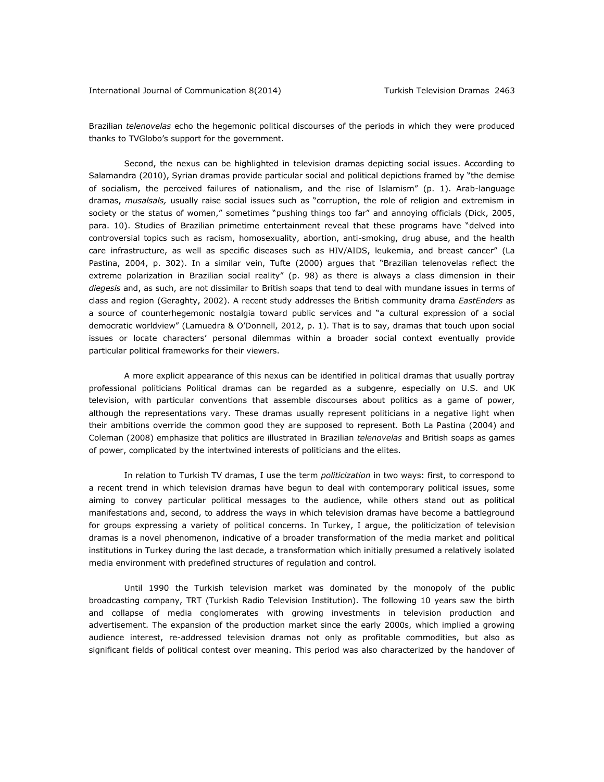Brazilian *telenovelas* echo the hegemonic political discourses of the periods in which they were produced thanks to TVGlobo's support for the government.

Second, the nexus can be highlighted in television dramas depicting social issues. According to Salamandra (2010), Syrian dramas provide particular social and political depictions framed by "the demise of socialism, the perceived failures of nationalism, and the rise of Islamism" (p. 1). Arab-language dramas, *musalsals,* usually raise social issues such as "corruption, the role of religion and extremism in society or the status of women," sometimes "pushing things too far" and annoying officials (Dick, 2005, para. 10). Studies of Brazilian primetime entertainment reveal that these programs have "delved into controversial topics such as racism, homosexuality, abortion, anti-smoking, drug abuse, and the health care infrastructure, as well as specific diseases such as HIV/AIDS, leukemia, and breast cancer" (La Pastina, 2004, p. 302). In a similar vein, Tufte (2000) argues that "Brazilian telenovelas reflect the extreme polarization in Brazilian social reality" (p. 98) as there is always a class dimension in their *diegesis* and, as such, are not dissimilar to British soaps that tend to deal with mundane issues in terms of class and region (Geraghty, 2002). A recent study addresses the British community drama *EastEnders* as a source of counterhegemonic nostalgia toward public services and "a cultural expression of a social democratic worldview" (Lamuedra & O'Donnell, 2012, p. 1). That is to say, dramas that touch upon social issues or locate characters' personal dilemmas within a broader social context eventually provide particular political frameworks for their viewers.

A more explicit appearance of this nexus can be identified in political dramas that usually portray professional politicians Political dramas can be regarded as a subgenre, especially on U.S. and UK television, with particular conventions that assemble discourses about politics as a game of power, although the representations vary. These dramas usually represent politicians in a negative light when their ambitions override the common good they are supposed to represent. Both La Pastina (2004) and Coleman (2008) emphasize that politics are illustrated in Brazilian *telenovelas* and British soaps as games of power, complicated by the intertwined interests of politicians and the elites.

In relation to Turkish TV dramas, I use the term *politicization* in two ways: first, to correspond to a recent trend in which television dramas have begun to deal with contemporary political issues, some aiming to convey particular political messages to the audience, while others stand out as political manifestations and, second, to address the ways in which television dramas have become a battleground for groups expressing a variety of political concerns. In Turkey, I argue, the politicization of television dramas is a novel phenomenon, indicative of a broader transformation of the media market and political institutions in Turkey during the last decade, a transformation which initially presumed a relatively isolated media environment with predefined structures of regulation and control.

Until 1990 the Turkish television market was dominated by the monopoly of the public broadcasting company, TRT (Turkish Radio Television Institution). The following 10 years saw the birth and collapse of media conglomerates with growing investments in television production and advertisement. The expansion of the production market since the early 2000s, which implied a growing audience interest, re-addressed television dramas not only as profitable commodities, but also as significant fields of political contest over meaning. This period was also characterized by the handover of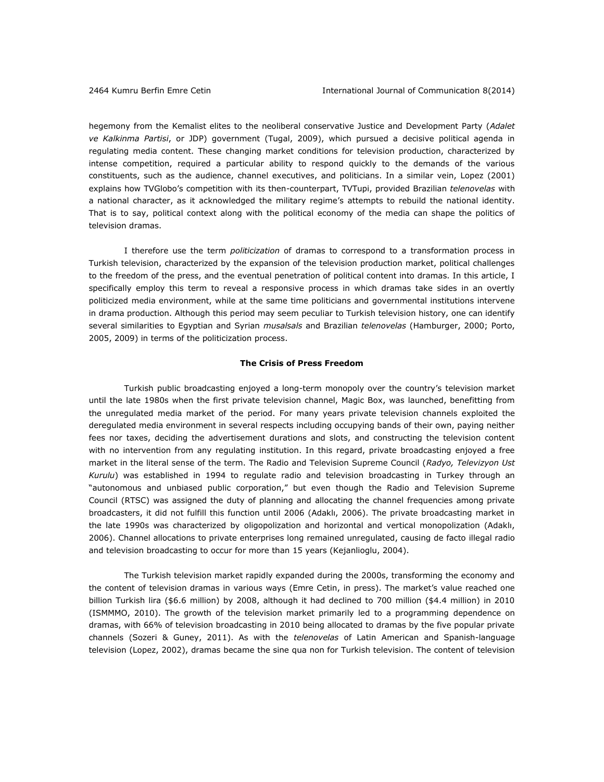hegemony from the Kemalist elites to the neoliberal conservative Justice and Development Party (*Adalet ve Kalkinma Partisi*, or JDP) government (Tugal, 2009), which pursued a decisive political agenda in regulating media content. These changing market conditions for television production, characterized by intense competition, required a particular ability to respond quickly to the demands of the various constituents, such as the audience, channel executives, and politicians. In a similar vein, Lopez (2001) explains how TVGlobo's competition with its then-counterpart, TVTupi, provided Brazilian *telenovelas* with a national character, as it acknowledged the military regime's attempts to rebuild the national identity. That is to say, political context along with the political economy of the media can shape the politics of television dramas.

I therefore use the term *politicization* of dramas to correspond to a transformation process in Turkish television, characterized by the expansion of the television production market, political challenges to the freedom of the press, and the eventual penetration of political content into dramas. In this article, I specifically employ this term to reveal a responsive process in which dramas take sides in an overtly politicized media environment, while at the same time politicians and governmental institutions intervene in drama production. Although this period may seem peculiar to Turkish television history, one can identify several similarities to Egyptian and Syrian *musalsals* and Brazilian *telenovelas* (Hamburger, 2000; Porto, 2005, 2009) in terms of the politicization process.

# **The Crisis of Press Freedom**

Turkish public broadcasting enjoyed a long-term monopoly over the country's television market until the late 1980s when the first private television channel, Magic Box, was launched, benefitting from the unregulated media market of the period. For many years private television channels exploited the deregulated media environment in several respects including occupying bands of their own, paying neither fees nor taxes, deciding the advertisement durations and slots, and constructing the television content with no intervention from any regulating institution. In this regard, private broadcasting enjoyed a free market in the literal sense of the term. The Radio and Television Supreme Council (*Radyo, Televizyon Ust Kurulu*) was established in 1994 to regulate radio and television broadcasting in Turkey through an "autonomous and unbiased public corporation," but even though the Radio and Television Supreme Council (RTSC) was assigned the duty of planning and allocating the channel frequencies among private broadcasters, it did not fulfill this function until 2006 (Adaklı, 2006). The private broadcasting market in the late 1990s was characterized by oligopolization and horizontal and vertical monopolization (Adaklı, 2006). Channel allocations to private enterprises long remained unregulated, causing de facto illegal radio and television broadcasting to occur for more than 15 years (Kejanlioglu, 2004).

The Turkish television market rapidly expanded during the 2000s, transforming the economy and the content of television dramas in various ways (Emre Cetin, in press). The market's value reached one billion Turkish lira (\$6.6 million) by 2008, although it had declined to 700 million (\$4.4 million) in 2010 (ISMMMO, 2010). The growth of the television market primarily led to a programming dependence on dramas, with 66% of television broadcasting in 2010 being allocated to dramas by the five popular private channels (Sozeri & Guney, 2011). As with the *telenovelas* of Latin American and Spanish-language television (Lopez, 2002), dramas became the sine qua non for Turkish television. The content of television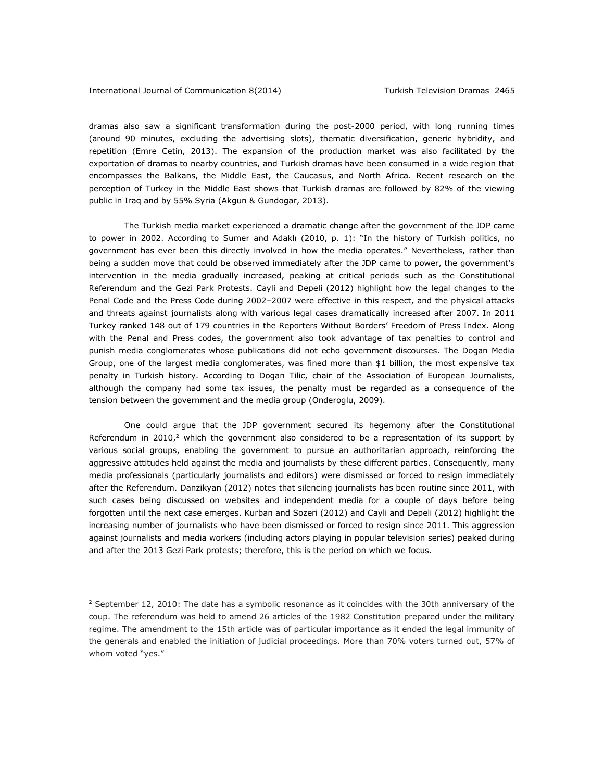dramas also saw a significant transformation during the post-2000 period, with long running times (around 90 minutes, excluding the advertising slots), thematic diversification, generic hybridity, and repetition (Emre Cetin, 2013). The expansion of the production market was also facilitated by the exportation of dramas to nearby countries, and Turkish dramas have been consumed in a wide region that encompasses the Balkans, the Middle East, the Caucasus, and North Africa. Recent research on the perception of Turkey in the Middle East shows that Turkish dramas are followed by 82% of the viewing public in Iraq and by 55% Syria (Akgun & Gundogar, 2013).

The Turkish media market experienced a dramatic change after the government of the JDP came to power in 2002. According to Sumer and Adaklı (2010, p. 1): "In the history of Turkish politics, no government has ever been this directly involved in how the media operates." Nevertheless, rather than being a sudden move that could be observed immediately after the JDP came to power, the government's intervention in the media gradually increased, peaking at critical periods such as the Constitutional Referendum and the Gezi Park Protests. Cayli and Depeli (2012) highlight how the legal changes to the Penal Code and the Press Code during 2002–2007 were effective in this respect, and the physical attacks and threats against journalists along with various legal cases dramatically increased after 2007. In 2011 Turkey ranked 148 out of 179 countries in the Reporters Without Borders' Freedom of Press Index. Along with the Penal and Press codes, the government also took advantage of tax penalties to control and punish media conglomerates whose publications did not echo government discourses. The Dogan Media Group, one of the largest media conglomerates, was fined more than \$1 billion, the most expensive tax penalty in Turkish history. According to Dogan Tilic, chair of the Association of European Journalists, although the company had some tax issues, the penalty must be regarded as a consequence of the tension between the government and the media group (Onderoglu, 2009).

One could argue that the JDP government secured its hegemony after the Constitutional Referendum in 2010, $2$  which the government also considered to be a representation of its support by various social groups, enabling the government to pursue an authoritarian approach, reinforcing the aggressive attitudes held against the media and journalists by these different parties. Consequently, many media professionals (particularly journalists and editors) were dismissed or forced to resign immediately after the Referendum. Danzikyan (2012) notes that silencing journalists has been routine since 2011, with such cases being discussed on websites and independent media for a couple of days before being forgotten until the next case emerges. Kurban and Sozeri (2012) and Cayli and Depeli (2012) highlight the increasing number of journalists who have been dismissed or forced to resign since 2011. This aggression against journalists and media workers (including actors playing in popular television series) peaked during and after the 2013 Gezi Park protests; therefore, this is the period on which we focus.

 $2$  September 12, 2010: The date has a symbolic resonance as it coincides with the 30th anniversary of the coup. The referendum was held to amend 26 articles of the 1982 Constitution prepared under the military regime. The amendment to the 15th article was of particular importance as it ended the legal immunity of the generals and enabled the initiation of judicial proceedings. More than 70% voters turned out, 57% of whom voted "yes."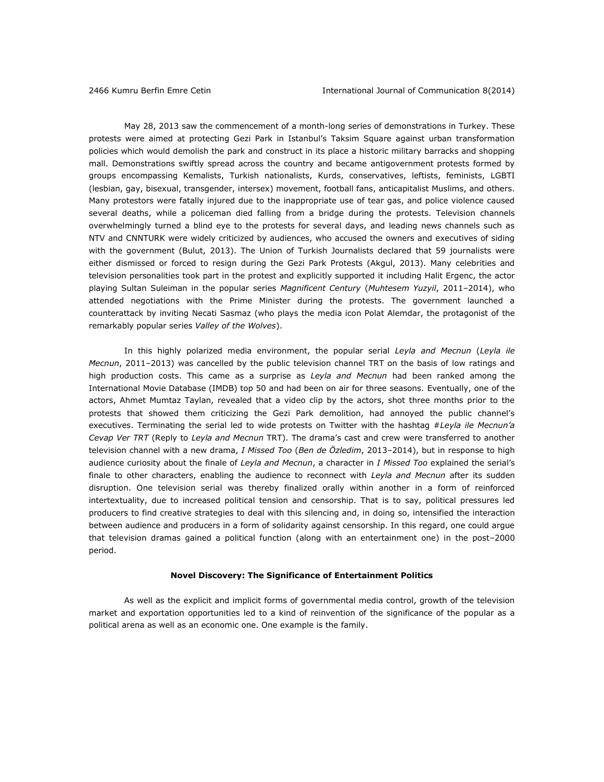May 28, 2013 saw the commencement of a month-long series of demonstrations in Turkey. These protests were aimed at protecting Gezi Park in Istanbul's Taksim Square against urban transformation policies which would demolish the park and construct in its place a historic military barracks and shopping mall. Demonstrations swiftly spread across the country and became antigovernment protests formed by groups encompassing Kemalists, Turkish nationalists, Kurds, conservatives, leftists, feminists, LGBTI (lesbian, gay, bisexual, transgender, intersex) movement, football fans, anticapitalist Muslims, and others. Many protestors were fatally injured due to the inappropriate use of tear gas, and police violence caused several deaths, while a policeman died falling from a bridge during the protests. Television channels overwhelmingly turned a blind eye to the protests for several days, and leading news channels such as NTV and CNNTURK were widely criticized by audiences, who accused the owners and executives of siding with the government (Bulut, 2013). The Union of Turkish Journalists declared that 59 journalists were either dismissed or forced to resign during the Gezi Park Protests (Akgul, 2013). Many celebrities and television personalities took part in the protest and explicitly supported it including Halit Ergenc, the actor playing Sultan Suleiman in the popular series *Magnificent Century* (*Muhtesem Yuzyil*, 2011–2014), who attended negotiations with the Prime Minister during the protests. The government launched a counterattack by inviting Necati Sasmaz (who plays the media icon Polat Alemdar, the protagonist of the remarkably popular series *Valley of the Wolves*).

In this highly polarized media environment, the popular serial *Leyla and Mecnun* (*Leyla ile Mecnun*, 2011–2013) was cancelled by the public television channel TRT on the basis of low ratings and high production costs. This came as a surprise as *Leyla and Mecnun* had been ranked among the International Movie Database (IMDB) top 50 and had been on air for three seasons. Eventually, one of the actors, Ahmet Mumtaz Taylan, revealed that a video clip by the actors, shot three months prior to the protests that showed them criticizing the Gezi Park demolition, had annoyed the public channel's executives. Terminating the serial led to wide protests on Twitter with the hashtag #*Leyla ile Mecnun'a Cevap Ver TRT* (Reply to *Leyla and Mecnun* TRT). The drama's cast and crew were transferred to another television channel with a new drama, *I Missed Too* (*Ben de Özledim*, 2013–2014), but in response to high audience curiosity about the finale of *Leyla and Mecnun*, a character in *I Missed Too* explained the serial's finale to other characters, enabling the audience to reconnect with *Leyla and Mecnun* after its sudden disruption. One television serial was thereby finalized orally within another in a form of reinforced intertextuality, due to increased political tension and censorship. That is to say, political pressures led producers to find creative strategies to deal with this silencing and, in doing so, intensified the interaction between audience and producers in a form of solidarity against censorship. In this regard, one could argue that television dramas gained a political function (along with an entertainment one) in the post–2000 period.

### **Novel Discovery: The Significance of Entertainment Politics**

As well as the explicit and implicit forms of governmental media control, growth of the television market and exportation opportunities led to a kind of reinvention of the significance of the popular as a political arena as well as an economic one. One example is the family.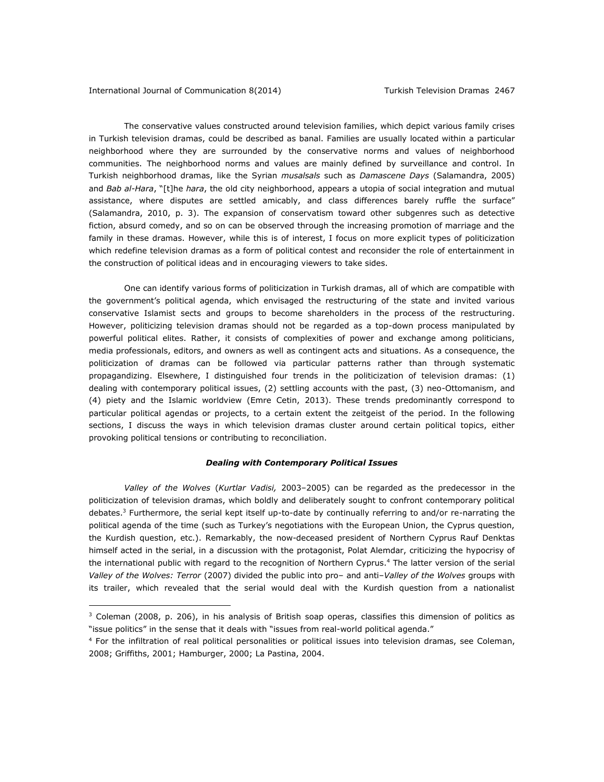The conservative values constructed around television families, which depict various family crises in Turkish television dramas, could be described as banal. Families are usually located within a particular neighborhood where they are surrounded by the conservative norms and values of neighborhood communities. The neighborhood norms and values are mainly defined by surveillance and control. In Turkish neighborhood dramas, like the Syrian *musalsals* such as *Damascene Days* (Salamandra, 2005) and *Bab al-Hara*, "[t]he *hara*, the old city neighborhood, appears a utopia of social integration and mutual assistance, where disputes are settled amicably, and class differences barely ruffle the surface" (Salamandra, 2010, p. 3). The expansion of conservatism toward other subgenres such as detective fiction, absurd comedy, and so on can be observed through the increasing promotion of marriage and the family in these dramas. However, while this is of interest, I focus on more explicit types of politicization which redefine television dramas as a form of political contest and reconsider the role of entertainment in the construction of political ideas and in encouraging viewers to take sides.

One can identify various forms of politicization in Turkish dramas, all of which are compatible with the government's political agenda, which envisaged the restructuring of the state and invited various conservative Islamist sects and groups to become shareholders in the process of the restructuring. However, politicizing television dramas should not be regarded as a top-down process manipulated by powerful political elites. Rather, it consists of complexities of power and exchange among politicians, media professionals, editors, and owners as well as contingent acts and situations. As a consequence, the politicization of dramas can be followed via particular patterns rather than through systematic propagandizing. Elsewhere, I distinguished four trends in the politicization of television dramas: (1) dealing with contemporary political issues, (2) settling accounts with the past, (3) neo-Ottomanism, and (4) piety and the Islamic worldview (Emre Cetin, 2013). These trends predominantly correspond to particular political agendas or projects, to a certain extent the zeitgeist of the period. In the following sections, I discuss the ways in which television dramas cluster around certain political topics, either provoking political tensions or contributing to reconciliation.

### *Dealing with Contemporary Political Issues*

*Valley of the Wolves* (*Kurtlar Vadisi,* 2003–2005) can be regarded as the predecessor in the politicization of television dramas, which boldly and deliberately sought to confront contemporary political debates.<sup>3</sup> Furthermore, the serial kept itself up-to-date by continually referring to and/or re-narrating the political agenda of the time (such as Turkey's negotiations with the European Union, the Cyprus question, the Kurdish question, etc.). Remarkably, the now-deceased president of Northern Cyprus Rauf Denktas himself acted in the serial, in a discussion with the protagonist, Polat Alemdar, criticizing the hypocrisy of the international public with regard to the recognition of Northern Cyprus.<sup>4</sup> The latter version of the serial *Valley of the Wolves: Terror* (2007) divided the public into pro– and anti–*Valley of the Wolves* groups with its trailer, which revealed that the serial would deal with the Kurdish question from a nationalist

<sup>&</sup>lt;sup>3</sup> Coleman (2008, p. 206), in his analysis of British soap operas, classifies this dimension of politics as "issue politics" in the sense that it deals with "issues from real-world political agenda."

<sup>&</sup>lt;sup>4</sup> For the infiltration of real political personalities or political issues into television dramas, see Coleman, 2008; Griffiths, 2001; Hamburger, 2000; La Pastina, 2004.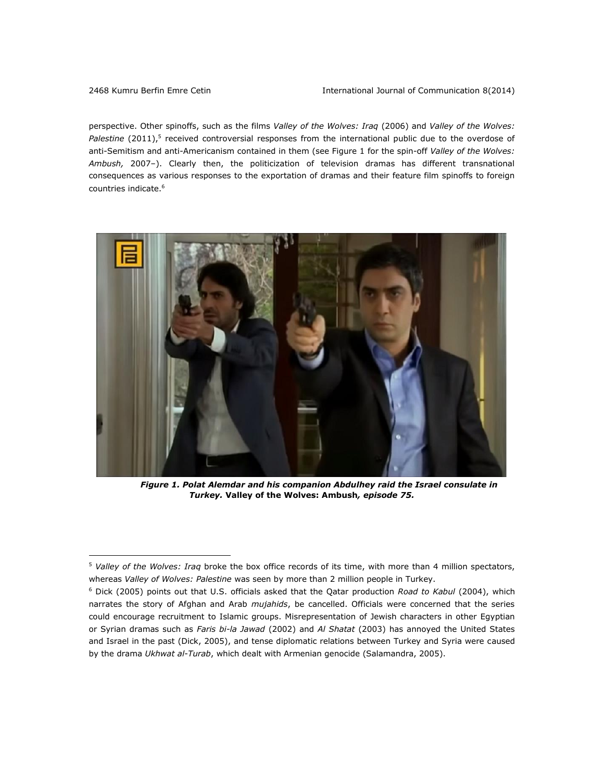perspective. Other spinoffs, such as the films *Valley of the Wolves: Iraq* (2006) and *Valley of the Wolves:*  Palestine (2011),<sup>5</sup> received controversial responses from the international public due to the overdose of anti-Semitism and anti-Americanism contained in them (see Figure 1 for the spin-off *Valley of the Wolves: Ambush,* 2007–). Clearly then, the politicization of television dramas has different transnational consequences as various responses to the exportation of dramas and their feature film spinoffs to foreign countries indicate.<sup>6</sup>



*Figure 1. Polat Alemdar and his companion Abdulhey raid the Israel consulate in Turkey.* **Valley of the Wolves: Ambush***, episode 75.*

<sup>5</sup> *Valley of the Wolves: Iraq* broke the box office records of its time, with more than 4 million spectators, whereas *Valley of Wolves: Palestine* was seen by more than 2 million people in Turkey.

<sup>6</sup> Dick (2005) points out that U.S. officials asked that the Qatar production *Road to Kabul* (2004), which narrates the story of Afghan and Arab *mujahids*, be cancelled. Officials were concerned that the series could encourage recruitment to Islamic groups. Misrepresentation of Jewish characters in other Egyptian or Syrian dramas such as *Faris bi-la Jawad* (2002) and *Al Shatat* (2003) has annoyed the United States and Israel in the past (Dick, 2005), and tense diplomatic relations between Turkey and Syria were caused by the drama *Ukhwat al-Turab*, which dealt with Armenian genocide (Salamandra, 2005).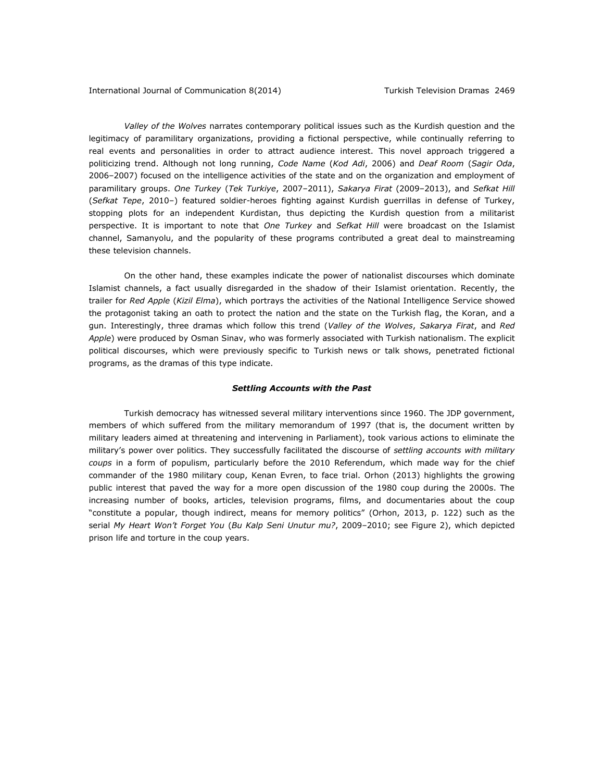*Valley of the Wolves* narrates contemporary political issues such as the Kurdish question and the legitimacy of paramilitary organizations, providing a fictional perspective, while continually referring to real events and personalities in order to attract audience interest. This novel approach triggered a politicizing trend. Although not long running, *Code Name* (*Kod Adi*, 2006) and *Deaf Room* (*Sagir Oda*, 2006–2007) focused on the intelligence activities of the state and on the organization and employment of paramilitary groups. *One Turkey* (*Tek Turkiye*, 2007–2011), *Sakarya Firat* (2009–2013), and *Sefkat Hill*  (*Sefkat Tepe*, 2010–) featured soldier-heroes fighting against Kurdish guerrillas in defense of Turkey, stopping plots for an independent Kurdistan, thus depicting the Kurdish question from a militarist perspective. It is important to note that *One Turkey* and *Sefkat Hill* were broadcast on the Islamist channel, Samanyolu, and the popularity of these programs contributed a great deal to mainstreaming these television channels.

On the other hand, these examples indicate the power of nationalist discourses which dominate Islamist channels, a fact usually disregarded in the shadow of their Islamist orientation. Recently, the trailer for *Red Apple* (*Kizil Elma*), which portrays the activities of the National Intelligence Service showed the protagonist taking an oath to protect the nation and the state on the Turkish flag, the Koran, and a gun. Interestingly, three dramas which follow this trend (*Valley of the Wolves*, *Sakarya Firat*, and *Red Apple*) were produced by Osman Sinav, who was formerly associated with Turkish nationalism. The explicit political discourses, which were previously specific to Turkish news or talk shows, penetrated fictional programs, as the dramas of this type indicate.

#### *Settling Accounts with the Past*

Turkish democracy has witnessed several military interventions since 1960. The JDP government, members of which suffered from the military memorandum of 1997 (that is, the document written by military leaders aimed at threatening and intervening in Parliament), took various actions to eliminate the military's power over politics. They successfully facilitated the discourse of *settling accounts with military coups* in a form of populism, particularly before the 2010 Referendum, which made way for the chief commander of the 1980 military coup, Kenan Evren, to face trial. Orhon (2013) highlights the growing public interest that paved the way for a more open discussion of the 1980 coup during the 2000s. The increasing number of books, articles, television programs, films, and documentaries about the coup "constitute a popular, though indirect, means for memory politics" (Orhon, 2013, p. 122) such as the serial *My Heart Won't Forget You* (*Bu Kalp Seni Unutur mu?*, 2009–2010; see Figure 2), which depicted prison life and torture in the coup years.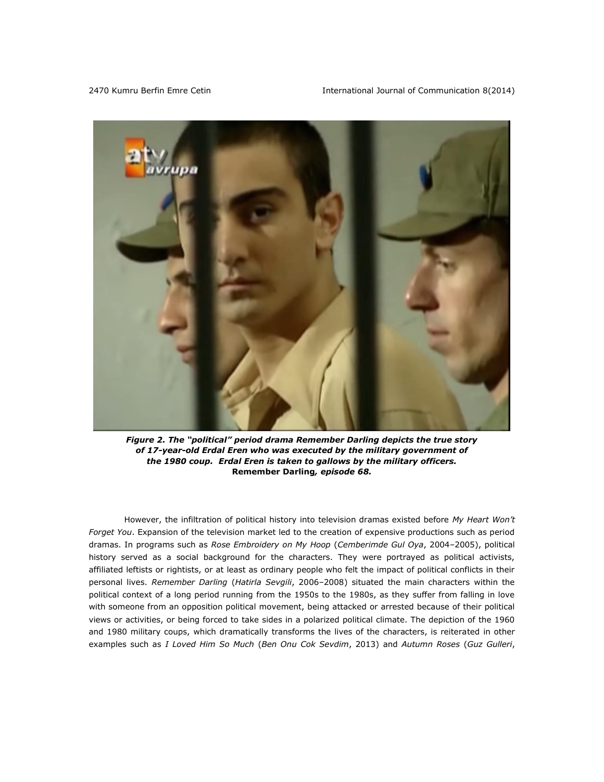

*Figure 2. The "political" period drama Remember Darling depicts the true story of 17-year-old Erdal Eren who was executed by the military government of the 1980 coup. Erdal Eren is taken to gallows by the military officers.*  **Remember Darling***, episode 68.*

However, the infiltration of political history into television dramas existed before *My Heart Won't Forget You*. Expansion of the television market led to the creation of expensive productions such as period dramas. In programs such as *Rose Embroidery on My Hoop* (*Cemberimde Gul Oya*, 2004–2005), political history served as a social background for the characters. They were portrayed as political activists, affiliated leftists or rightists, or at least as ordinary people who felt the impact of political conflicts in their personal lives. *Remember Darling* (*Hatirla Sevgili*, 2006–2008) situated the main characters within the political context of a long period running from the 1950s to the 1980s, as they suffer from falling in love with someone from an opposition political movement, being attacked or arrested because of their political views or activities, or being forced to take sides in a polarized political climate. The depiction of the 1960 and 1980 military coups, which dramatically transforms the lives of the characters, is reiterated in other examples such as *I Loved Him So Much* (*Ben Onu Cok Sevdim*, 2013) and *Autumn Roses* (*Guz Gulleri*,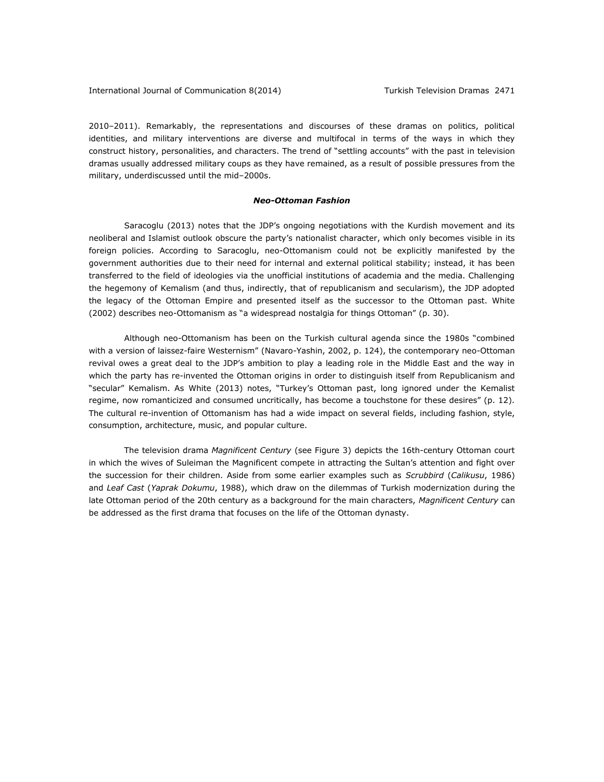2010–2011). Remarkably, the representations and discourses of these dramas on politics, political identities, and military interventions are diverse and multifocal in terms of the ways in which they construct history, personalities, and characters. The trend of "settling accounts" with the past in television dramas usually addressed military coups as they have remained, as a result of possible pressures from the military, underdiscussed until the mid–2000s.

# *Neo-Ottoman Fashion*

Saracoglu (2013) notes that the JDP's ongoing negotiations with the Kurdish movement and its neoliberal and Islamist outlook obscure the party's nationalist character, which only becomes visible in its foreign policies. According to Saracoglu, neo-Ottomanism could not be explicitly manifested by the government authorities due to their need for internal and external political stability; instead, it has been transferred to the field of ideologies via the unofficial institutions of academia and the media. Challenging the hegemony of Kemalism (and thus, indirectly, that of republicanism and secularism), the JDP adopted the legacy of the Ottoman Empire and presented itself as the successor to the Ottoman past. White (2002) describes neo-Ottomanism as "a widespread nostalgia for things Ottoman" (p. 30).

Although neo-Ottomanism has been on the Turkish cultural agenda since the 1980s "combined with a version of laissez-faire Westernism" (Navaro-Yashin, 2002, p. 124), the contemporary neo-Ottoman revival owes a great deal to the JDP's ambition to play a leading role in the Middle East and the way in which the party has re-invented the Ottoman origins in order to distinguish itself from Republicanism and "secular" Kemalism. As White (2013) notes, "Turkey's Ottoman past, long ignored under the Kemalist regime, now romanticized and consumed uncritically, has become a touchstone for these desires" (p. 12). The cultural re-invention of Ottomanism has had a wide impact on several fields, including fashion, style, consumption, architecture, music, and popular culture.

The television drama *Magnificent Century* (see Figure 3) depicts the 16th-century Ottoman court in which the wives of Suleiman the Magnificent compete in attracting the Sultan's attention and fight over the succession for their children. Aside from some earlier examples such as *Scrubbird* (*Calikusu*, 1986) and *Leaf Cast* (*Yaprak Dokumu*, 1988), which draw on the dilemmas of Turkish modernization during the late Ottoman period of the 20th century as a background for the main characters, *Magnificent Century* can be addressed as the first drama that focuses on the life of the Ottoman dynasty.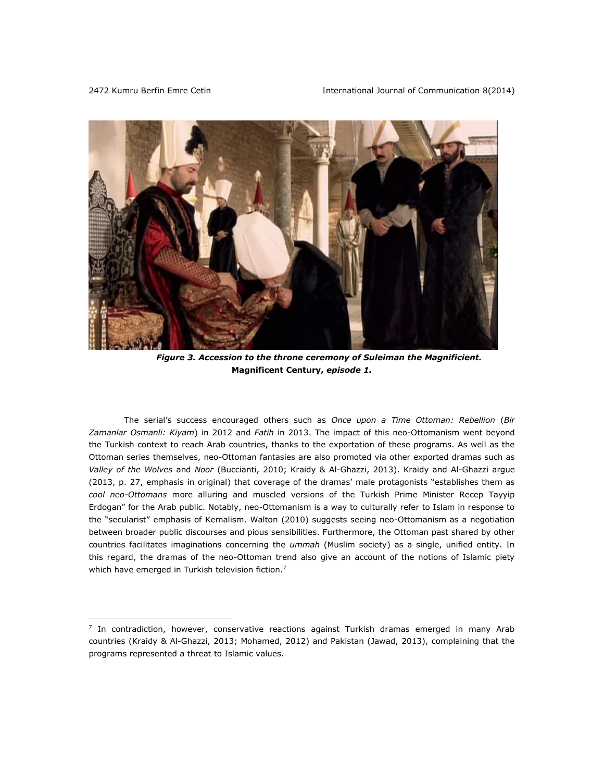

*Figure 3. Accession to the throne ceremony of Suleiman the Magnificient.*  **Magnificent Century,** *episode 1.*

The serial's success encouraged others such as *Once upon a Time Ottoman: Rebellion* (*Bir Zamanlar Osmanli: Kiyam*) in 2012 and *Fatih* in 2013. The impact of this neo-Ottomanism went beyond the Turkish context to reach Arab countries, thanks to the exportation of these programs. As well as the Ottoman series themselves, neo-Ottoman fantasies are also promoted via other exported dramas such as *Valley of the Wolves* and *Noor* (Buccianti, 2010; Kraidy & Al-Ghazzi, 2013). Kraidy and Al-Ghazzi argue (2013, p. 27, emphasis in original) that coverage of the dramas' male protagonists "establishes them as *cool neo-Ottomans* more alluring and muscled versions of the Turkish Prime Minister Recep Tayyip Erdogan" for the Arab public. Notably, neo-Ottomanism is a way to culturally refer to Islam in response to the "secularist" emphasis of Kemalism. Walton (2010) suggests seeing neo-Ottomanism as a negotiation between broader public discourses and pious sensibilities. Furthermore, the Ottoman past shared by other countries facilitates imaginations concerning the *ummah* (Muslim society) as a single, unified entity. In this regard, the dramas of the neo-Ottoman trend also give an account of the notions of Islamic piety which have emerged in Turkish television fiction.<sup>7</sup>

<sup>&</sup>lt;sup>7</sup> In contradiction, however, conservative reactions against Turkish dramas emerged in many Arab countries (Kraidy & Al-Ghazzi, 2013; Mohamed, 2012) and Pakistan (Jawad, 2013), complaining that the programs represented a threat to Islamic values.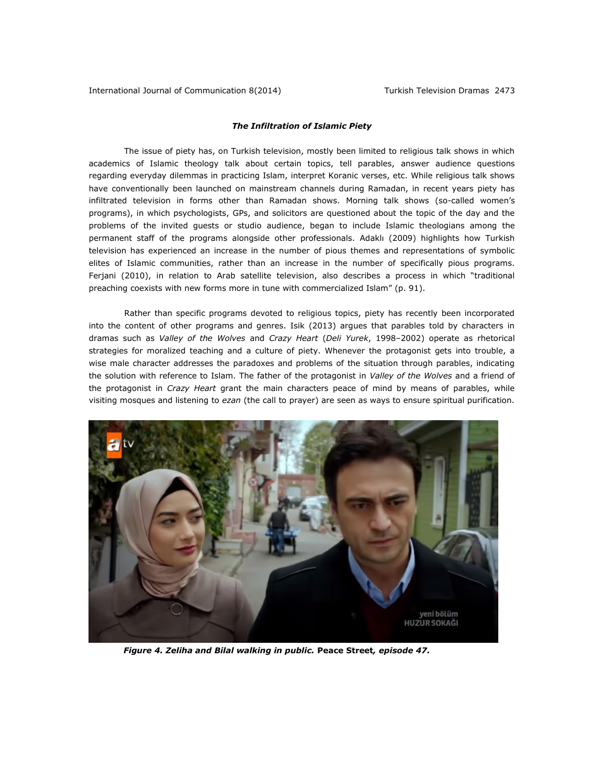# *The Infiltration of Islamic Piety*

The issue of piety has, on Turkish television, mostly been limited to religious talk shows in which academics of Islamic theology talk about certain topics, tell parables, answer audience questions regarding everyday dilemmas in practicing Islam, interpret Koranic verses, etc. While religious talk shows have conventionally been launched on mainstream channels during Ramadan, in recent years piety has infiltrated television in forms other than Ramadan shows. Morning talk shows (so-called women's programs), in which psychologists, GPs, and solicitors are questioned about the topic of the day and the problems of the invited guests or studio audience, began to include Islamic theologians among the permanent staff of the programs alongside other professionals. Adaklı (2009) highlights how Turkish television has experienced an increase in the number of pious themes and representations of symbolic elites of Islamic communities, rather than an increase in the number of specifically pious programs. Ferjani (2010), in relation to Arab satellite television, also describes a process in which "traditional preaching coexists with new forms more in tune with commercialized Islam" (p. 91).

Rather than specific programs devoted to religious topics, piety has recently been incorporated into the content of other programs and genres. Isik (2013) argues that parables told by characters in dramas such as *Valley of the Wolves* and *Crazy Heart* (*Deli Yurek*, 1998–2002) operate as rhetorical strategies for moralized teaching and a culture of piety. Whenever the protagonist gets into trouble, a wise male character addresses the paradoxes and problems of the situation through parables, indicating the solution with reference to Islam. The father of the protagonist in *Valley of the Wolves* and a friend of the protagonist in *Crazy Heart* grant the main characters peace of mind by means of parables, while visiting mosques and listening to *ezan* (the call to prayer) are seen as ways to ensure spiritual purification.



*Figure 4. Zeliha and Bilal walking in public.* **Peace Street***, episode 47.*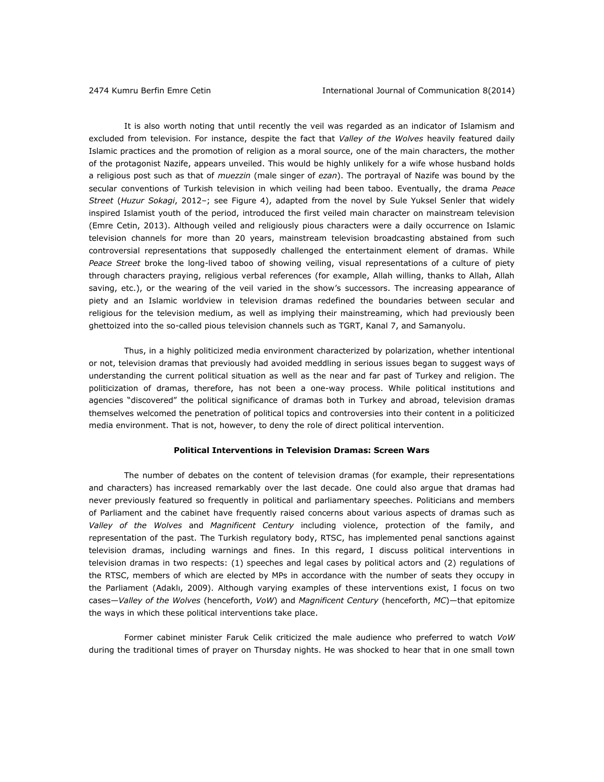It is also worth noting that until recently the veil was regarded as an indicator of Islamism and excluded from television. For instance, despite the fact that *Valley of the Wolves* heavily featured daily Islamic practices and the promotion of religion as a moral source, one of the main characters, the mother of the protagonist Nazife, appears unveiled. This would be highly unlikely for a wife whose husband holds a religious post such as that of *muezzin* (male singer of *ezan*). The portrayal of Nazife was bound by the secular conventions of Turkish television in which veiling had been taboo. Eventually, the drama *Peace Street* (*Huzur Sokagi*, 2012–; see Figure 4), adapted from the novel by Sule Yuksel Senler that widely inspired Islamist youth of the period, introduced the first veiled main character on mainstream television (Emre Cetin, 2013). Although veiled and religiously pious characters were a daily occurrence on Islamic television channels for more than 20 years, mainstream television broadcasting abstained from such controversial representations that supposedly challenged the entertainment element of dramas. While *Peace Street* broke the long-lived taboo of showing veiling, visual representations of a culture of piety through characters praying, religious verbal references (for example, Allah willing, thanks to Allah, Allah saving, etc.), or the wearing of the veil varied in the show's successors. The increasing appearance of piety and an Islamic worldview in television dramas redefined the boundaries between secular and religious for the television medium, as well as implying their mainstreaming, which had previously been ghettoized into the so-called pious television channels such as TGRT, Kanal 7, and Samanyolu.

Thus, in a highly politicized media environment characterized by polarization, whether intentional or not, television dramas that previously had avoided meddling in serious issues began to suggest ways of understanding the current political situation as well as the near and far past of Turkey and religion. The politicization of dramas, therefore, has not been a one-way process. While political institutions and agencies "discovered" the political significance of dramas both in Turkey and abroad, television dramas themselves welcomed the penetration of political topics and controversies into their content in a politicized media environment. That is not, however, to deny the role of direct political intervention.

# **Political Interventions in Television Dramas: Screen Wars**

The number of debates on the content of television dramas (for example, their representations and characters) has increased remarkably over the last decade. One could also argue that dramas had never previously featured so frequently in political and parliamentary speeches. Politicians and members of Parliament and the cabinet have frequently raised concerns about various aspects of dramas such as *Valley of the Wolves* and *Magnificent Century* including violence, protection of the family, and representation of the past. The Turkish regulatory body, RTSC, has implemented penal sanctions against television dramas, including warnings and fines. In this regard, I discuss political interventions in television dramas in two respects: (1) speeches and legal cases by political actors and (2) regulations of the RTSC, members of which are elected by MPs in accordance with the number of seats they occupy in the Parliament (Adaklı, 2009). Although varying examples of these interventions exist, I focus on two cases—*Valley of the Wolves* (henceforth, *VoW*) and *Magnificent Century* (henceforth, *MC*)—that epitomize the ways in which these political interventions take place.

Former cabinet minister Faruk Celik criticized the male audience who preferred to watch *VoW* during the traditional times of prayer on Thursday nights. He was shocked to hear that in one small town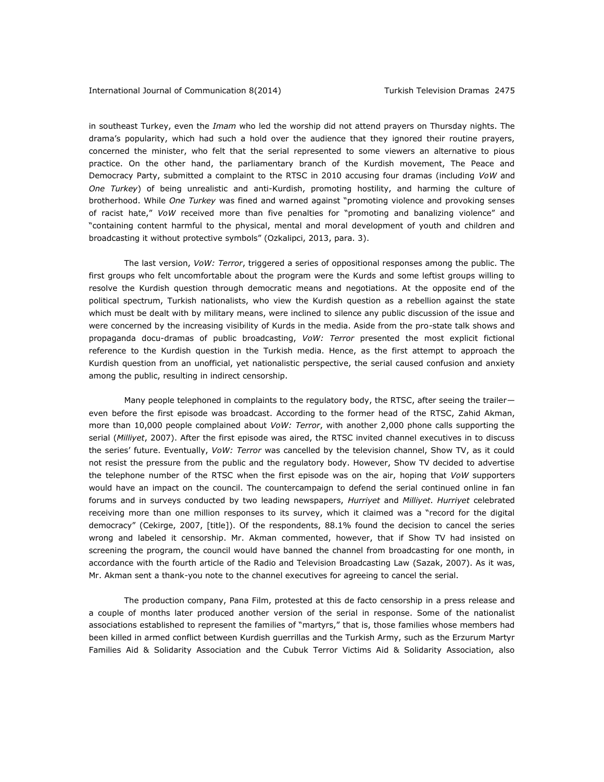in southeast Turkey, even the *Imam* who led the worship did not attend prayers on Thursday nights. The drama's popularity, which had such a hold over the audience that they ignored their routine prayers, concerned the minister, who felt that the serial represented to some viewers an alternative to pious practice. On the other hand, the parliamentary branch of the Kurdish movement, The Peace and Democracy Party, submitted a complaint to the RTSC in 2010 accusing four dramas (including *VoW* and *One Turkey*) of being unrealistic and anti-Kurdish, promoting hostility, and harming the culture of brotherhood. While *One Turkey* was fined and warned against "promoting violence and provoking senses of racist hate," *VoW* received more than five penalties for "promoting and banalizing violence" and "containing content harmful to the physical, mental and moral development of youth and children and broadcasting it without protective symbols" (Ozkalipci, 2013, para. 3).

The last version, *VoW: Terror*, triggered a series of oppositional responses among the public. The first groups who felt uncomfortable about the program were the Kurds and some leftist groups willing to resolve the Kurdish question through democratic means and negotiations. At the opposite end of the political spectrum, Turkish nationalists, who view the Kurdish question as a rebellion against the state which must be dealt with by military means, were inclined to silence any public discussion of the issue and were concerned by the increasing visibility of Kurds in the media. Aside from the pro-state talk shows and propaganda docu-dramas of public broadcasting, *VoW: Terror* presented the most explicit fictional reference to the Kurdish question in the Turkish media. Hence, as the first attempt to approach the Kurdish question from an unofficial, yet nationalistic perspective, the serial caused confusion and anxiety among the public, resulting in indirect censorship.

Many people telephoned in complaints to the regulatory body, the RTSC, after seeing the trailer even before the first episode was broadcast. According to the former head of the RTSC, Zahid Akman, more than 10,000 people complained about *VoW: Terror*, with another 2,000 phone calls supporting the serial (*Milliyet*, 2007). After the first episode was aired, the RTSC invited channel executives in to discuss the series' future. Eventually, *VoW: Terror* was cancelled by the television channel, Show TV, as it could not resist the pressure from the public and the regulatory body. However, Show TV decided to advertise the telephone number of the RTSC when the first episode was on the air, hoping that *VoW* supporters would have an impact on the council. The countercampaign to defend the serial continued online in fan forums and in surveys conducted by two leading newspapers, *Hurriyet* and *Milliyet*. *Hurriyet* celebrated receiving more than one million responses to its survey, which it claimed was a "record for the digital democracy" (Cekirge, 2007, [title]). Of the respondents, 88.1% found the decision to cancel the series wrong and labeled it censorship. Mr. Akman commented, however, that if Show TV had insisted on screening the program, the council would have banned the channel from broadcasting for one month, in accordance with the fourth article of the Radio and Television Broadcasting Law (Sazak, 2007). As it was, Mr. Akman sent a thank-you note to the channel executives for agreeing to cancel the serial.

The production company, Pana Film, protested at this de facto censorship in a press release and a couple of months later produced another version of the serial in response. Some of the nationalist associations established to represent the families of "martyrs," that is, those families whose members had been killed in armed conflict between Kurdish guerrillas and the Turkish Army, such as the Erzurum Martyr Families Aid & Solidarity Association and the Cubuk Terror Victims Aid & Solidarity Association, also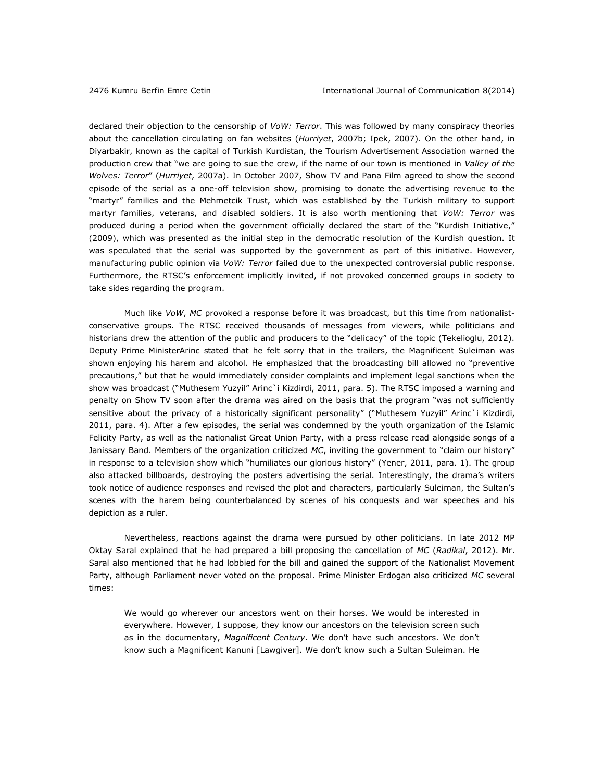declared their objection to the censorship of *VoW: Terror*. This was followed by many conspiracy theories about the cancellation circulating on fan websites (*Hurriyet*, 2007b; Ipek, 2007). On the other hand, in Diyarbakir, known as the capital of Turkish Kurdistan, the Tourism Advertisement Association warned the production crew that "we are going to sue the crew, if the name of our town is mentioned in *Valley of the Wolves: Terror*" (*Hurriyet*, 2007a). In October 2007, Show TV and Pana Film agreed to show the second episode of the serial as a one-off television show, promising to donate the advertising revenue to the "martyr" families and the Mehmetcik Trust, which was established by the Turkish military to support martyr families, veterans, and disabled soldiers. It is also worth mentioning that *VoW: Terror* was produced during a period when the government officially declared the start of the "Kurdish Initiative," (2009), which was presented as the initial step in the democratic resolution of the Kurdish question. It was speculated that the serial was supported by the government as part of this initiative. However, manufacturing public opinion via *VoW: Terror* failed due to the unexpected controversial public response. Furthermore, the RTSC's enforcement implicitly invited, if not provoked concerned groups in society to take sides regarding the program.

Much like *VoW*, *MC* provoked a response before it was broadcast, but this time from nationalistconservative groups. The RTSC received thousands of messages from viewers, while politicians and historians drew the attention of the public and producers to the "delicacy" of the topic (Tekelioglu, 2012). Deputy Prime MinisterArinc stated that he felt sorry that in the trailers, the Magnificent Suleiman was shown enjoying his harem and alcohol. He emphasized that the broadcasting bill allowed no "preventive precautions," but that he would immediately consider complaints and implement legal sanctions when the show was broadcast ("Muthesem Yuzyil" Arinc`i Kizdirdi, 2011, para. 5). The RTSC imposed a warning and penalty on Show TV soon after the drama was aired on the basis that the program "was not sufficiently sensitive about the privacy of a historically significant personality" ("Muthesem Yuzyil" Arinc`i Kizdirdi, 2011, para. 4). After a few episodes, the serial was condemned by the youth organization of the Islamic Felicity Party, as well as the nationalist Great Union Party, with a press release read alongside songs of a Janissary Band. Members of the organization criticized *MC*, inviting the government to "claim our history" in response to a television show which "humiliates our glorious history" (Yener, 2011, para. 1). The group also attacked billboards, destroying the posters advertising the serial*.* Interestingly, the drama's writers took notice of audience responses and revised the plot and characters, particularly Suleiman, the Sultan's scenes with the harem being counterbalanced by scenes of his conquests and war speeches and his depiction as a ruler.

Nevertheless, reactions against the drama were pursued by other politicians. In late 2012 MP Oktay Saral explained that he had prepared a bill proposing the cancellation of *MC* (*Radikal*, 2012). Mr. Saral also mentioned that he had lobbied for the bill and gained the support of the Nationalist Movement Party, although Parliament never voted on the proposal. Prime Minister Erdogan also criticized *MC* several times:

We would go wherever our ancestors went on their horses. We would be interested in everywhere. However, I suppose, they know our ancestors on the television screen such as in the documentary, *Magnificent Century*. We don't have such ancestors. We don't know such a Magnificent Kanuni [Lawgiver]. We don't know such a Sultan Suleiman. He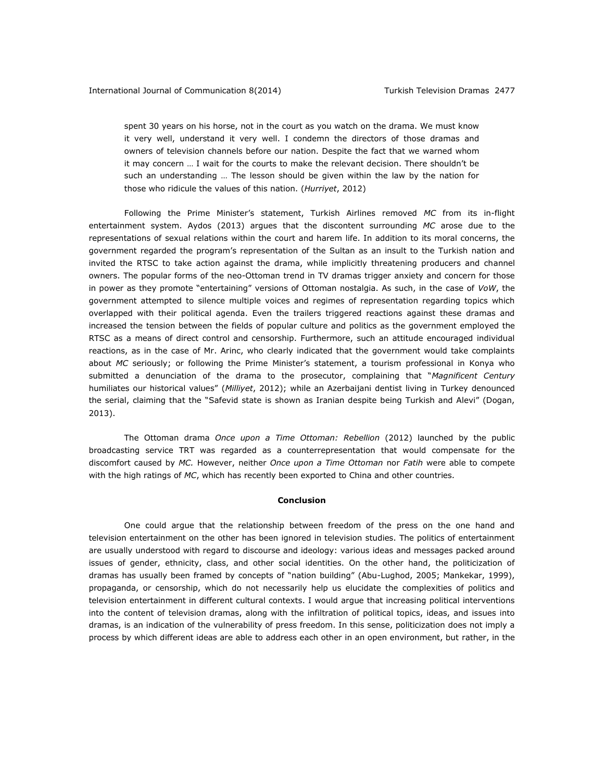spent 30 years on his horse, not in the court as you watch on the drama. We must know it very well, understand it very well. I condemn the directors of those dramas and owners of television channels before our nation. Despite the fact that we warned whom it may concern … I wait for the courts to make the relevant decision. There shouldn't be such an understanding … The lesson should be given within the law by the nation for those who ridicule the values of this nation. (*Hurriyet*, 2012)

Following the Prime Minister's statement, Turkish Airlines removed *MC* from its in-flight entertainment system. Aydos (2013) argues that the discontent surrounding *MC* arose due to the representations of sexual relations within the court and harem life. In addition to its moral concerns, the government regarded the program's representation of the Sultan as an insult to the Turkish nation and invited the RTSC to take action against the drama, while implicitly threatening producers and channel owners. The popular forms of the neo-Ottoman trend in TV dramas trigger anxiety and concern for those in power as they promote "entertaining" versions of Ottoman nostalgia. As such, in the case of *VoW*, the government attempted to silence multiple voices and regimes of representation regarding topics which overlapped with their political agenda. Even the trailers triggered reactions against these dramas and increased the tension between the fields of popular culture and politics as the government employed the RTSC as a means of direct control and censorship. Furthermore, such an attitude encouraged individual reactions, as in the case of Mr. Arinc, who clearly indicated that the government would take complaints about *MC* seriously; or following the Prime Minister's statement, a tourism professional in Konya who submitted a denunciation of the drama to the prosecutor, complaining that "*Magnificent Century*  humiliates our historical values" (*Milliyet*, 2012); while an Azerbaijani dentist living in Turkey denounced the serial, claiming that the "Safevid state is shown as Iranian despite being Turkish and Alevi" (Dogan, 2013).

The Ottoman drama *Once upon a Time Ottoman: Rebellion* (2012) launched by the public broadcasting service TRT was regarded as a counterrepresentation that would compensate for the discomfort caused by *MC.* However, neither *Once upon a Time Ottoman* nor *Fatih* were able to compete with the high ratings of *MC*, which has recently been exported to China and other countries*.* 

# **Conclusion**

One could argue that the relationship between freedom of the press on the one hand and television entertainment on the other has been ignored in television studies. The politics of entertainment are usually understood with regard to discourse and ideology: various ideas and messages packed around issues of gender, ethnicity, class, and other social identities. On the other hand, the politicization of dramas has usually been framed by concepts of "nation building" (Abu-Lughod, 2005; Mankekar, 1999), propaganda, or censorship, which do not necessarily help us elucidate the complexities of politics and television entertainment in different cultural contexts. I would argue that increasing political interventions into the content of television dramas, along with the infiltration of political topics, ideas, and issues into dramas, is an indication of the vulnerability of press freedom. In this sense, politicization does not imply a process by which different ideas are able to address each other in an open environment, but rather, in the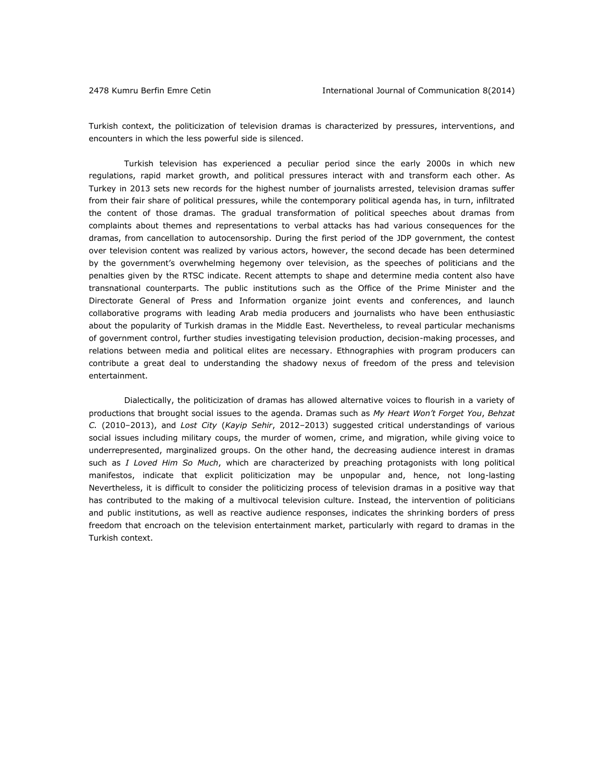Turkish context, the politicization of television dramas is characterized by pressures, interventions, and encounters in which the less powerful side is silenced.

Turkish television has experienced a peculiar period since the early 2000s in which new regulations, rapid market growth, and political pressures interact with and transform each other. As Turkey in 2013 sets new records for the highest number of journalists arrested, television dramas suffer from their fair share of political pressures, while the contemporary political agenda has, in turn, infiltrated the content of those dramas. The gradual transformation of political speeches about dramas from complaints about themes and representations to verbal attacks has had various consequences for the dramas, from cancellation to autocensorship. During the first period of the JDP government, the contest over television content was realized by various actors, however, the second decade has been determined by the government's overwhelming hegemony over television, as the speeches of politicians and the penalties given by the RTSC indicate. Recent attempts to shape and determine media content also have transnational counterparts. The public institutions such as the Office of the Prime Minister and the Directorate General of Press and Information organize joint events and conferences, and launch collaborative programs with leading Arab media producers and journalists who have been enthusiastic about the popularity of Turkish dramas in the Middle East. Nevertheless, to reveal particular mechanisms of government control, further studies investigating television production, decision-making processes, and relations between media and political elites are necessary. Ethnographies with program producers can contribute a great deal to understanding the shadowy nexus of freedom of the press and television entertainment.

Dialectically, the politicization of dramas has allowed alternative voices to flourish in a variety of productions that brought social issues to the agenda. Dramas such as *My Heart Won't Forget You*, *Behzat C.* (2010–2013), and *Lost City* (*Kayip Sehir*, 2012–2013) suggested critical understandings of various social issues including military coups, the murder of women, crime, and migration, while giving voice to underrepresented, marginalized groups. On the other hand, the decreasing audience interest in dramas such as *I Loved Him So Much*, which are characterized by preaching protagonists with long political manifestos, indicate that explicit politicization may be unpopular and, hence, not long-lasting Nevertheless, it is difficult to consider the politicizing process of television dramas in a positive way that has contributed to the making of a multivocal television culture. Instead, the intervention of politicians and public institutions, as well as reactive audience responses, indicates the shrinking borders of press freedom that encroach on the television entertainment market, particularly with regard to dramas in the Turkish context.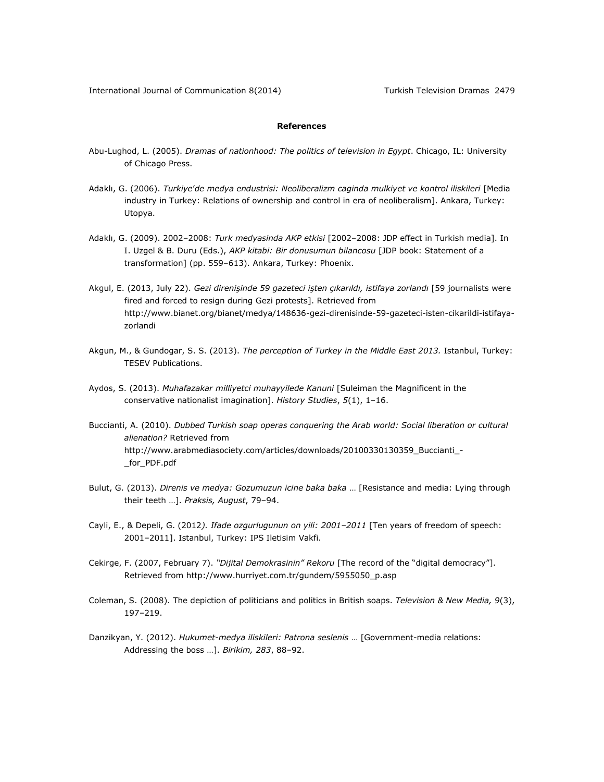# **References**

- Abu-Lughod, L. (2005). *Dramas of nationhood: The politics of television in Egypt*. Chicago, IL: University of Chicago Press.
- Adaklı, G. (2006). *Turkiye*'*de medya endustrisi: Neoliberalizm caginda mulkiyet ve kontrol iliskileri* [Media industry in Turkey: Relations of ownership and control in era of neoliberalism]. Ankara, Turkey: Utopya.
- Adaklı, G. (2009). 2002–2008: *Turk medyasinda AKP etkisi* [2002–2008: JDP effect in Turkish media]. In I. Uzgel & B. Duru (Eds.), *AKP kitabi: Bir donusumun bilancosu* [JDP book: Statement of a transformation] (pp. 559–613). Ankara, Turkey: Phoenix.
- Akgul, E. (2013, July 22). *Gezi direnişinde 59 gazeteci işten çıkarıldı, istifaya zorlandı* [59 journalists were fired and forced to resign during Gezi protests]. Retrieved from [http://www.bianet.org/bianet/medya/148636-gezi-direnisinde-59-gazeteci-isten-cikarildi-istifaya](http://www.bianet.org/bianet/medya/148636-gezi-direnisinde-59-gazeteci-isten-cikarildi-istifaya-zorlandi)[zorlandi](http://www.bianet.org/bianet/medya/148636-gezi-direnisinde-59-gazeteci-isten-cikarildi-istifaya-zorlandi)
- Akgun, M., & Gundogar, S. S. (2013). *The perception of Turkey in the Middle East 2013.* Istanbul, Turkey: TESEV Publications.
- Aydos, S. (2013). *Muhafazakar milliyetci muhayyilede Kanuni* [Suleiman the Magnificent in the conservative nationalist imagination]. *History Studies*, *5*(1), 1–16.
- Buccianti, A. (2010). *Dubbed Turkish soap operas conquering the Arab world: Social liberation or cultural alienation?* Retrieved from [http://www.arabmediasociety.com/articles/downloads/20100330130359\\_Buccianti\\_-](http://www.arabmediasociety.com/articles/downloads/20100330130359_Buccianti_-_for_PDF.pdf) [\\_for\\_PDF.pdf](http://www.arabmediasociety.com/articles/downloads/20100330130359_Buccianti_-_for_PDF.pdf)
- Bulut, G. (2013). *Direnis ve medya: Gozumuzun icine baka baka* … [Resistance and media: Lying through their teeth …]. *Praksis, August*, 79–94.
- Cayli, E., & Depeli, G. (2012*). Ifade ozgurlugunun on yili: 2001–2011* [Ten years of freedom of speech: 2001–2011]. Istanbul, Turkey: IPS Iletisim Vakfi.
- Cekirge, F. (2007, February 7). *"Dijital Demokrasinin" Rekoru* [The record of the "digital democracy"]. Retrieved from [http://www.hurriyet.com.tr/gundem/5955050\\_p.asp](http://www.hurriyet.com.tr/gundem/5955050_p.asp)
- Coleman, S. (2008). The depiction of politicians and politics in British soaps. *Television & New Media, 9*(3), 197–219.
- Danzikyan, Y. (2012). *Hukumet-medya iliskileri: Patrona seslenis* … [Government-media relations: Addressing the boss …]. *Birikim, 283*, 88–92.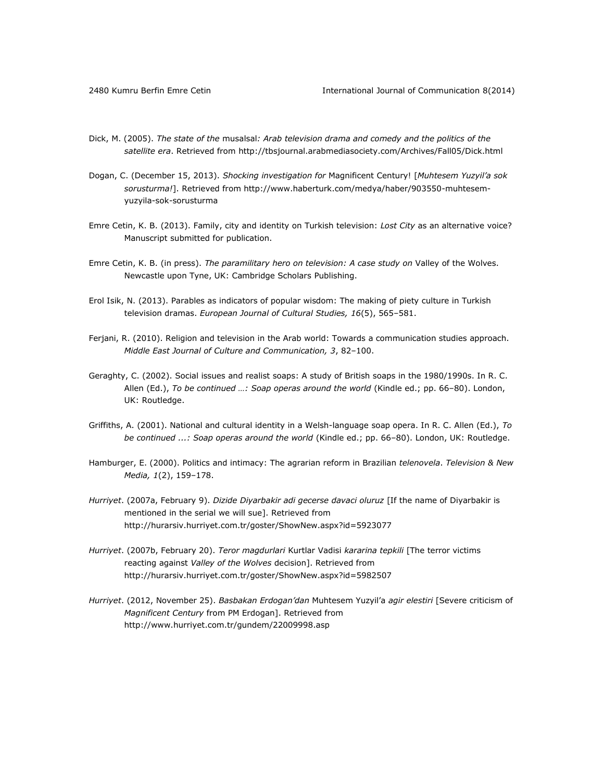- Dick, M. (2005). *The state of the* musalsal*: Arab television drama and comedy and the politics of the satellite era*. Retrieved fro[m http://tbsjournal.arabmediasociety.com/Archives/Fall05/Dick.html](http://tbsjournal.arabmediasociety.com/Archives/Fall05/Dick.html)
- Dogan, C. (December 15, 2013). *Shocking investigation for* Magnificent Century! [*Muhtesem Yuzyil'a sok sorusturma!*]. Retrieved from [http://www.haberturk.com/medya/haber/903550-muhtesem](http://www.haberturk.com/medya/haber/903550-muhtesem-yuzyila-sok-sorusturma)[yuzyila-sok-sorusturma](http://www.haberturk.com/medya/haber/903550-muhtesem-yuzyila-sok-sorusturma)
- Emre Cetin, K. B. (2013). Family, city and identity on Turkish television: *Lost City* as an alternative voice? Manuscript submitted for publication.
- Emre Cetin, K. B. (in press). *The paramilitary hero on television: A case study on* Valley of the Wolves. Newcastle upon Tyne, UK: Cambridge Scholars Publishing.
- Erol Isik, N. (2013). Parables as indicators of popular wisdom: The making of piety culture in Turkish television dramas. *European Journal of Cultural Studies, 16*(5), 565–581.
- Ferjani, R. (2010). Religion and television in the Arab world: Towards a communication studies approach. *Middle East Journal of Culture and Communication, 3*, 82–100.
- Geraghty, C. (2002). Social issues and realist soaps: A study of British soaps in the 1980/1990s. In R. C. Allen (Ed.), *To be continued …: Soap operas around the world* (Kindle ed.; pp. 66–80). London, UK: Routledge.
- Griffiths, A. (2001). National and cultural identity in a Welsh-language soap opera. In R. C. Allen (Ed.), *To be continued ...: Soap operas around the world* (Kindle ed.; pp. 66–80). London, UK: Routledge.
- Hamburger, E. (2000). Politics and intimacy: The agrarian reform in Brazilian *telenovela*. *Television & New Media, 1*(2), 159–178.
- *Hurriyet*. (2007a, February 9). *Dizide Diyarbakir adi gecerse davaci oluruz* [If the name of Diyarbakir is mentioned in the serial we will sue]. Retrieved from <http://hurarsiv.hurriyet.com.tr/goster/ShowNew.aspx?id=5923077>
- *Hurriyet*. (2007b, February 20). *Teror magdurlari* Kurtlar Vadisi *kararina tepkili* [The terror victims reacting against *Valley of the Wolves* decision]. Retrieved from <http://hurarsiv.hurriyet.com.tr/goster/ShowNew.aspx?id=5982507>
- *Hurriyet*. (2012, November 25). *Basbakan Erdogan'dan* Muhtesem Yuzyil'a *agir elestiri* [Severe criticism of *Magnificent Century* from PM Erdogan]. Retrieved from <http://www.hurriyet.com.tr/gundem/22009998.asp>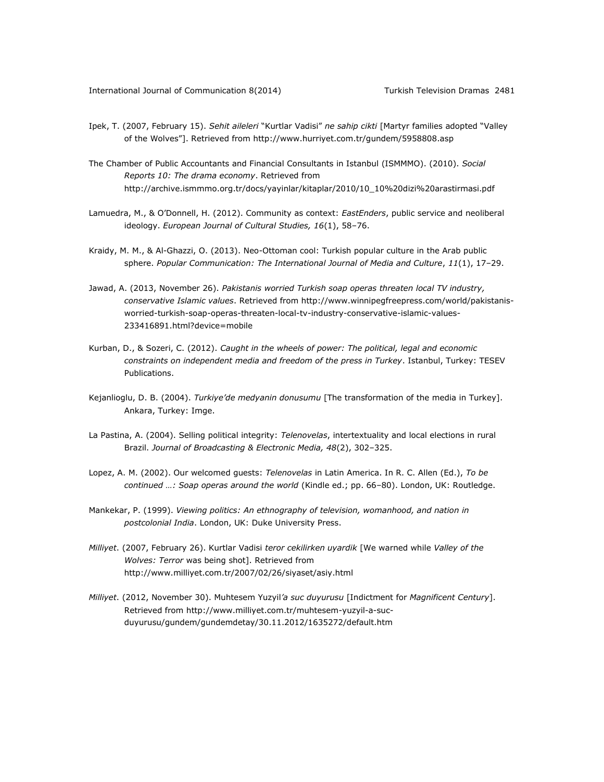- Ipek, T. (2007, February 15). *Sehit aileleri* "Kurtlar Vadisi" *ne sahip cikti* [Martyr families adopted "Valley of the Wolves"]. Retrieved from <http://www.hurriyet.com.tr/gundem/5958808.asp>
- The Chamber of Public Accountants and Financial Consultants in Istanbul (ISMMMO). (2010). *Social Reports 10: The drama economy*. Retrieved from [http://archive.ismmmo.org.tr/docs/yayinlar/kitaplar/2010/10\\_10%20dizi%20arastirmasi.pdf](http://archive.ismmmo.org.tr/docs/yayinlar/kitaplar/2010/10_10%20dizi%20arastirmasi.pdf)
- Lamuedra, M., & O'Donnell, H. (2012). Community as context: *EastEnders*, public service and neoliberal ideology. *European Journal of Cultural Studies, 16*(1), 58–76.
- Kraidy, M. M., & Al-Ghazzi, O. (2013). Neo-Ottoman cool: Turkish popular culture in the Arab public sphere. *Popular Communication: The International Journal of Media and Culture*, *11*(1), 17–29.
- Jawad, A. (2013, November 26). *Pakistanis worried Turkish soap operas threaten local TV industry, conservative Islamic values*. Retrieved from [http://www.winnipegfreepress.com/world/pakistanis](http://www.winnipegfreepress.com/world/pakistanis-worried-turkish-soap-operas-threaten-local-tv-industry-conservative-islamic-values-233416891.html?device=mobile)[worried-turkish-soap-operas-threaten-local-tv-industry-conservative-islamic-values-](http://www.winnipegfreepress.com/world/pakistanis-worried-turkish-soap-operas-threaten-local-tv-industry-conservative-islamic-values-233416891.html?device=mobile)[233416891.html?device=mobile](http://www.winnipegfreepress.com/world/pakistanis-worried-turkish-soap-operas-threaten-local-tv-industry-conservative-islamic-values-233416891.html?device=mobile)
- Kurban, D., & Sozeri, C. (2012). *Caught in the wheels of power: The political, legal and economic constraints on independent media and freedom of the press in Turkey*. Istanbul, Turkey: TESEV Publications.
- Kejanlioglu, D. B. (2004). *Turkiye'de medyanin donusumu* [The transformation of the media in Turkey]. Ankara, Turkey: Imge.
- La Pastina, A. (2004). Selling political integrity: *Telenovelas*, intertextuality and local elections in rural Brazil. *Journal of Broadcasting & Electronic Media, 48*(2), 302–325.
- Lopez, A. M. (2002). Our welcomed guests: *Telenovelas* in Latin America. In R. C. Allen (Ed.), *To be continued …: Soap operas around the world* (Kindle ed.; pp. 66–80). London, UK: Routledge.
- Mankekar, P. (1999). *Viewing politics: An ethnography of television, womanhood, and nation in postcolonial India*. London, UK: Duke University Press.
- *Milliyet*. (2007, February 26). Kurtlar Vadisi *teror cekilirken uyardik* [We warned while *Valley of the Wolves: Terror* was being shot]. Retrieved from <http://www.milliyet.com.tr/2007/02/26/siyaset/asiy.html>
- *Milliyet*. (2012, November 30). Muhtesem Yuzyil*'a suc duyurusu* [Indictment for *Magnificent Century*]. Retrieved from [http://www.milliyet.com.tr/muhtesem-yuzyil-a-suc](http://www.milliyet.com.tr/muhtesem-yuzyil-a-suc-duyurusu/gundem/gundemdetay/30.11.2012/1635272/default.htm)[duyurusu/gundem/gundemdetay/30.11.2012/1635272/default.htm](http://www.milliyet.com.tr/muhtesem-yuzyil-a-suc-duyurusu/gundem/gundemdetay/30.11.2012/1635272/default.htm)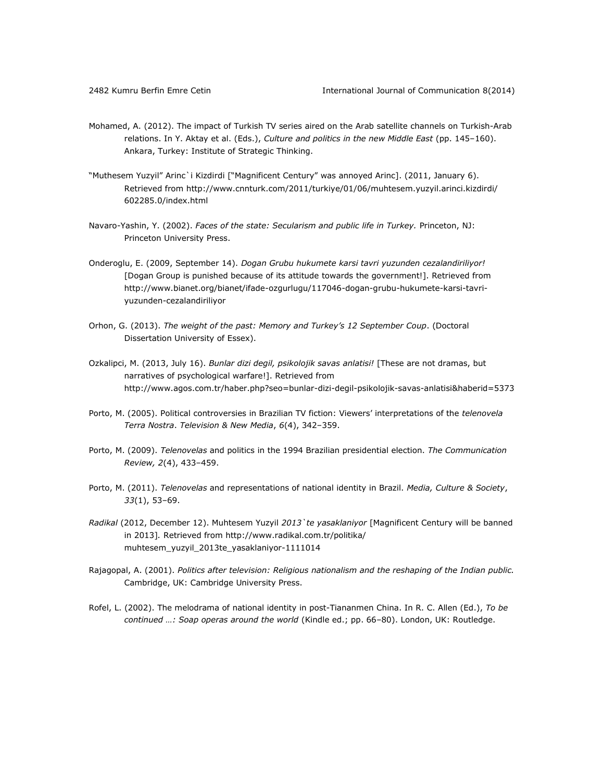- Mohamed, A. (2012). The impact of Turkish TV series aired on the Arab satellite channels on Turkish-Arab relations. In Y. Aktay et al. (Eds.), *Culture and politics in the new Middle East* (pp. 145–160). Ankara, Turkey: Institute of Strategic Thinking.
- "Muthesem Yuzyil" Arinc`i Kizdirdi ["Magnificent Century" was annoyed Arinc]. (2011, January 6). Retrieved from [http://www.cnnturk.com/2011/turkiye/01/06/muhtesem.yuzyil.arinci.kizdirdi/](http://www.cnnturk.com/2011/turkiye/01/06/muhtesem.yuzyil.arinci.kizdirdi/%0b602285.0/index.html) [602285.0/index.html](http://www.cnnturk.com/2011/turkiye/01/06/muhtesem.yuzyil.arinci.kizdirdi/%0b602285.0/index.html)
- Navaro-Yashin, Y. (2002). *Faces of the state: Secularism and public life in Turkey.* Princeton, NJ: Princeton University Press.
- Onderoglu, E. (2009, September 14). *Dogan Grubu hukumete karsi tavri yuzunden cezalandiriliyor!* [Dogan Group is punished because of its attitude towards the government!]. Retrieved from [http://www.bianet.org/bianet/ifade-ozgurlugu/117046-dogan-grubu-hukumete-karsi-tavri](http://www.bianet.org/bianet/ifade-ozgurlugu/117046-dogan-grubu-hukumete-karsi-tavri-yuzunden-cezalandiriliyor)[yuzunden-cezalandiriliyor](http://www.bianet.org/bianet/ifade-ozgurlugu/117046-dogan-grubu-hukumete-karsi-tavri-yuzunden-cezalandiriliyor)
- Orhon, G. (2013). *The weight of the past: Memory and Turkey's 12 September Coup*. (Doctoral Dissertation University of Essex).
- Ozkalipci, M. (2013, July 16). *Bunlar dizi degil, psikolojik savas anlatisi!* [These are not dramas, but narratives of psychological warfare!]. Retrieved from <http://www.agos.com.tr/haber.php?seo=bunlar-dizi-degil-psikolojik-savas-anlatisi&haberid=5373>
- Porto, M. (2005). Political controversies in Brazilian TV fiction: Viewers' interpretations of the *telenovela Terra Nostra*. *Television & New Media*, *6*(4), 342–359.
- Porto, M. (2009). *Telenovelas* and politics in the 1994 Brazilian presidential election. *The Communication Review, 2*(4), 433–459.
- Porto, M. (2011). *Telenovelas* and representations of national identity in Brazil. *Media, Culture & Society*, *33*(1), 53–69.
- *Radikal* (2012, December 12). Muhtesem Yuzyil *2013`te yasaklaniyor* [Magnificent Century will be banned in 2013]*.* Retrieved from [http://www.radikal.com.tr/politika/](http://www.radikal.com.tr/politika/%0bmuhtesem_yuzyil_2013te_yasaklaniyor-1111014) [muhtesem\\_yuzyil\\_2013te\\_yasaklaniyor-1111014](http://www.radikal.com.tr/politika/%0bmuhtesem_yuzyil_2013te_yasaklaniyor-1111014)
- Rajagopal, A. (2001). *Politics after television: Religious nationalism and the reshaping of the Indian public.*  Cambridge, UK: Cambridge University Press.
- Rofel, L. (2002). The melodrama of national identity in post-Tiananmen China. In R. C. Allen (Ed.), *To be continued …: Soap operas around the world* (Kindle ed.; pp. 66–80). London, UK: Routledge.